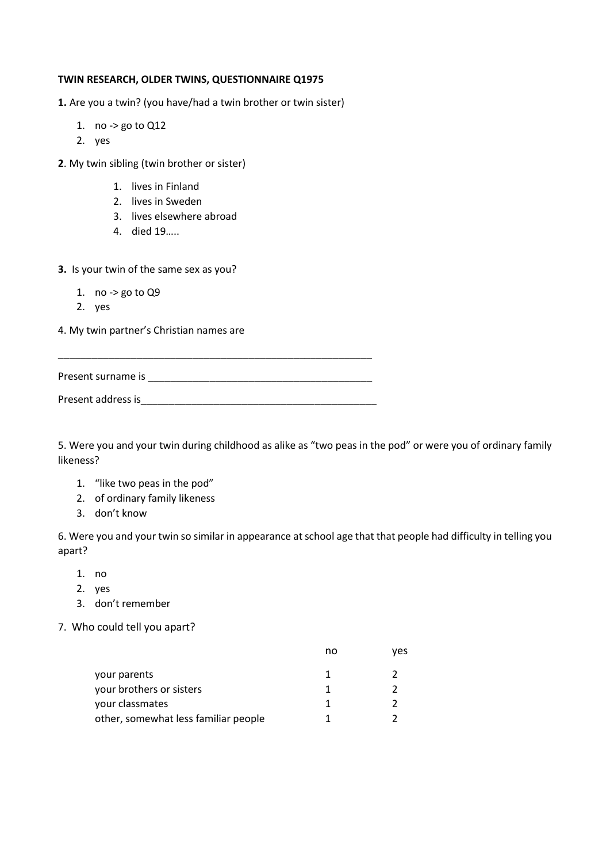#### **TWIN RESEARCH, OLDER TWINS, QUESTIONNAIRE Q1975**

**1.** Are you a twin? (you have/had a twin brother or twin sister)

- 1. no -> go to Q12
- 2. yes
- **2**. My twin sibling (twin brother or sister)
	- 1. lives in Finland
	- 2. lives in Sweden
	- 3. lives elsewhere abroad
	- 4. died 19…..

#### **3.** Is your twin of the same sex as you?

- 1. no -> go to Q9
- 2. yes

4. My twin partner's Christian names are

Present surname is **Example 3** 

\_\_\_\_\_\_\_\_\_\_\_\_\_\_\_\_\_\_\_\_\_\_\_\_\_\_\_\_\_\_\_\_\_\_\_\_\_\_\_\_\_\_\_\_\_\_\_\_\_\_\_\_\_\_\_\_

| Present address is |
|--------------------|
|--------------------|

5. Were you and your twin during childhood as alike as "two peas in the pod" or were you of ordinary family likeness?

- 1. "like two peas in the pod"
- 2. of ordinary family likeness
- 3. don't know

6. Were you and your twin so similar in appearance at school age that that people had difficulty in telling you apart?

- 1. no
- 2. yes
- 3. don't remember
- 7. Who could tell you apart?

|                                      | no | ves |
|--------------------------------------|----|-----|
| your parents                         |    |     |
| your brothers or sisters             |    |     |
| your classmates                      |    |     |
| other, somewhat less familiar people |    |     |
|                                      |    |     |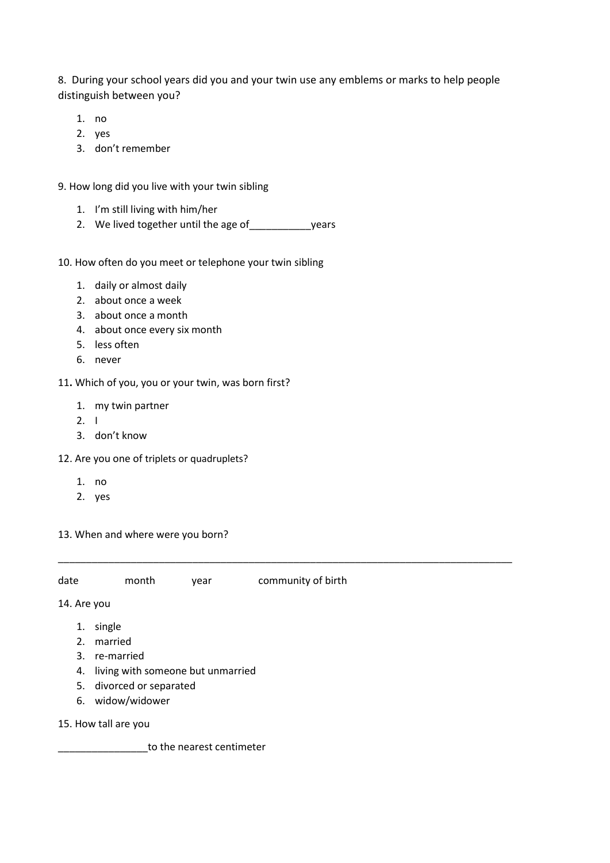8. During your school years did you and your twin use any emblems or marks to help people distinguish between you?

- 1. no
- 2. yes
- 3. don't remember
- 9. How long did you live with your twin sibling
	- 1. I'm still living with him/her
	- 2. We lived together until the age of \_\_\_\_\_\_\_\_\_\_\_\_\_\_\_\_years
- 10. How often do you meet or telephone your twin sibling
	- 1. daily or almost daily
	- 2. about once a week
	- 3. about once a month
	- 4. about once every six month
	- 5. less often
	- 6. never
- 11**.** Which of you, you or your twin, was born first?
	- 1. my twin partner
	- 2. I
	- 3. don't know
- 12. Are you one of triplets or quadruplets?
	- 1. no
	- 2. yes
- 13. When and where were you born?

| date | month | year | community of birth |
|------|-------|------|--------------------|
|      |       |      |                    |

\_\_\_\_\_\_\_\_\_\_\_\_\_\_\_\_\_\_\_\_\_\_\_\_\_\_\_\_\_\_\_\_\_\_\_\_\_\_\_\_\_\_\_\_\_\_\_\_\_\_\_\_\_\_\_\_\_\_\_\_\_\_\_\_\_\_\_\_\_\_\_\_\_\_\_\_\_\_\_\_\_

14. Are you

- 1. single
- 2. married
- 3. re-married
- 4. living with someone but unmarried
- 5. divorced or separated
- 6. widow/widower
- 15. How tall are you

\_\_\_\_\_\_\_\_\_\_\_\_\_\_\_\_to the nearest centimeter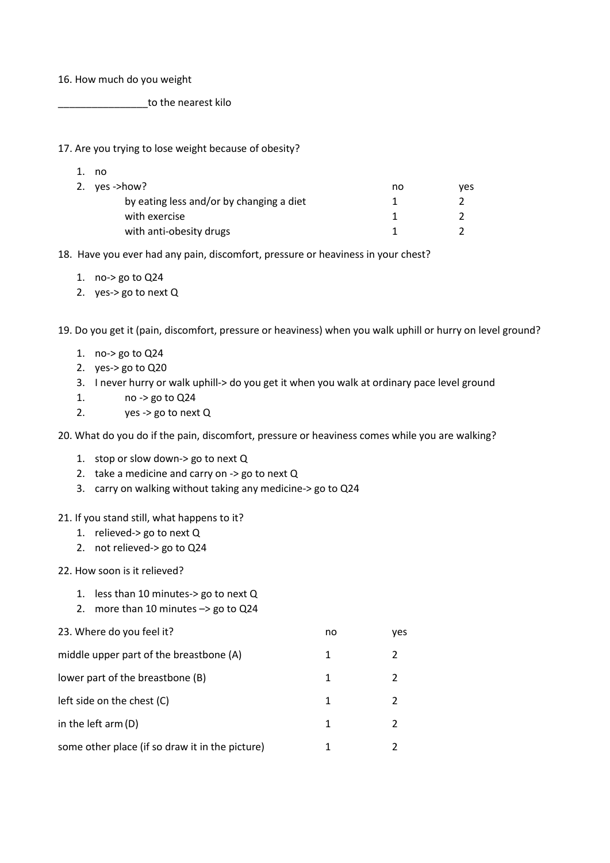16. How much do you weight

\_\_\_\_\_\_\_\_\_\_\_\_\_\_\_\_to the nearest kilo

17. Are you trying to lose weight because of obesity?

| no                                       |    |     |
|------------------------------------------|----|-----|
| 2. $yes \rightarrow how?$                | no | ves |
| by eating less and/or by changing a diet |    |     |
| with exercise                            |    |     |
| with anti-obesity drugs                  |    |     |

18. Have you ever had any pain, discomfort, pressure or heaviness in your chest?

- 1. no-> go to Q24
- 2. yes-> go to next Q

19. Do you get it (pain, discomfort, pressure or heaviness) when you walk uphill or hurry on level ground?

- 1. no-> go to Q24
- 2. yes-> go to Q20
- 3. I never hurry or walk uphill-> do you get it when you walk at ordinary pace level ground
- 1. no -> go to Q24
- 2. yes -> go to next Q

20. What do you do if the pain, discomfort, pressure or heaviness comes while you are walking?

- 1. stop or slow down-> go to next Q
- 2. take a medicine and carry on -> go to next Q
- 3. carry on walking without taking any medicine-> go to Q24

#### 21. If you stand still, what happens to it?

- 1. relieved-> go to next Q
- 2. not relieved-> go to Q24

# 22. How soon is it relieved?

- 1. less than 10 minutes-> go to next Q
- 2. more than 10 minutes –> go to Q24

| 23. Where do you feel it?                       | no | ves |
|-------------------------------------------------|----|-----|
| middle upper part of the breastbone (A)         | 1  |     |
| lower part of the breastbone (B)                | 1  | 2   |
| left side on the chest (C)                      | 1  |     |
| in the left $arm(D)$                            | 1  |     |
| some other place (if so draw it in the picture) | 1  | 2   |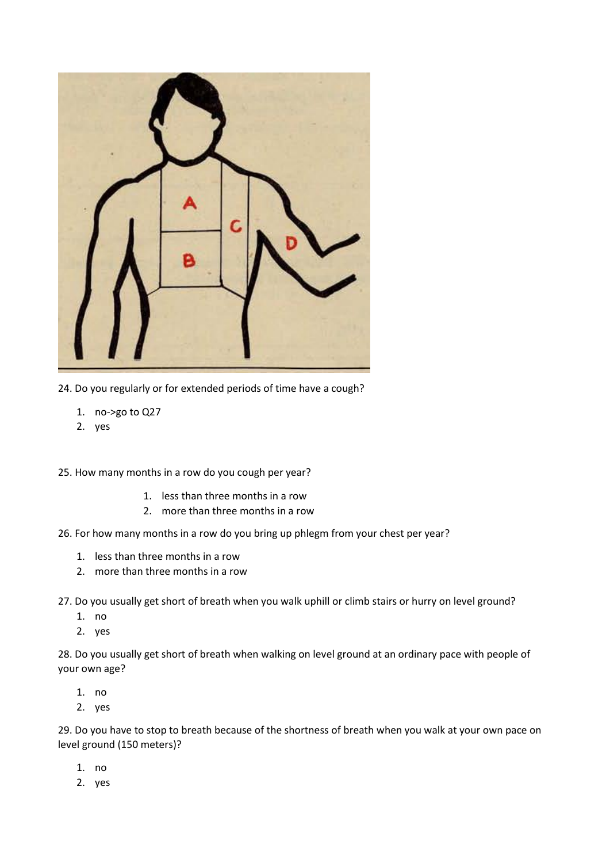

- 24. Do you regularly or for extended periods of time have a cough?
	- 1. no->go to Q27
	- 2. yes

25. How many months in a row do you cough per year?

- 1. less than three months in a row
- 2. more than three months in a row
- 26. For how many months in a row do you bring up phlegm from your chest per year?
	- 1. less than three months in a row
	- 2. more than three months in a row
- 27. Do you usually get short of breath when you walk uphill or climb stairs or hurry on level ground?
	- 1. no
	- 2. yes

28. Do you usually get short of breath when walking on level ground at an ordinary pace with people of your own age?

- 1. no
- 2. yes

29. Do you have to stop to breath because of the shortness of breath when you walk at your own pace on level ground (150 meters)?

- 1. no
- 2. yes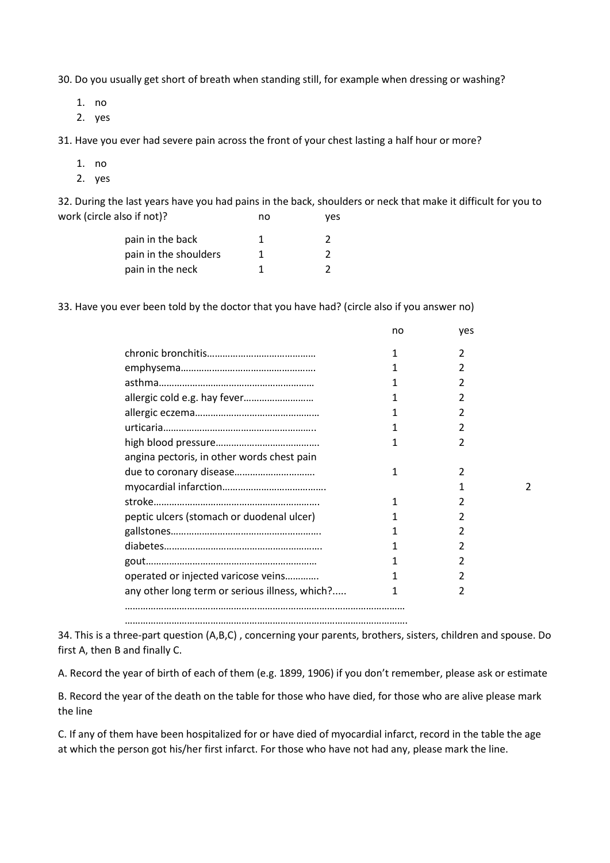30. Do you usually get short of breath when standing still, for example when dressing or washing?

1. no

2. yes

31. Have you ever had severe pain across the front of your chest lasting a half hour or more?

- 1. no
- 2. yes

32. During the last years have you had pains in the back, shoulders or neck that make it difficult for you to work (circle also if not)? ho work of the set of the set of the set of the set of the set of the set of the set o

| pain in the back      |  |
|-----------------------|--|
| pain in the shoulders |  |
| pain in the neck      |  |

33. Have you ever been told by the doctor that you have had? (circle also if you answer no)

|                                                | no | yes |  |
|------------------------------------------------|----|-----|--|
|                                                |    | 2   |  |
|                                                |    |     |  |
|                                                |    |     |  |
|                                                |    |     |  |
|                                                |    | 2   |  |
|                                                |    |     |  |
|                                                |    | 2   |  |
| angina pectoris, in other words chest pain     |    |     |  |
|                                                |    |     |  |
|                                                |    |     |  |
|                                                |    |     |  |
| peptic ulcers (stomach or duodenal ulcer)      |    | 7   |  |
|                                                |    |     |  |
|                                                |    |     |  |
|                                                |    |     |  |
| operated or injected varicose veins            |    |     |  |
| any other long term or serious illness, which? | 1  | 2   |  |
|                                                |    |     |  |

………………………………………………………………………………………………. 34. This is a three-part question (A,B,C) , concerning your parents, brothers, sisters, children and spouse. Do

first A, then B and finally C.

A. Record the year of birth of each of them (e.g. 1899, 1906) if you don't remember, please ask or estimate

B. Record the year of the death on the table for those who have died, for those who are alive please mark the line

C. If any of them have been hospitalized for or have died of myocardial infarct, record in the table the age at which the person got his/her first infarct. For those who have not had any, please mark the line.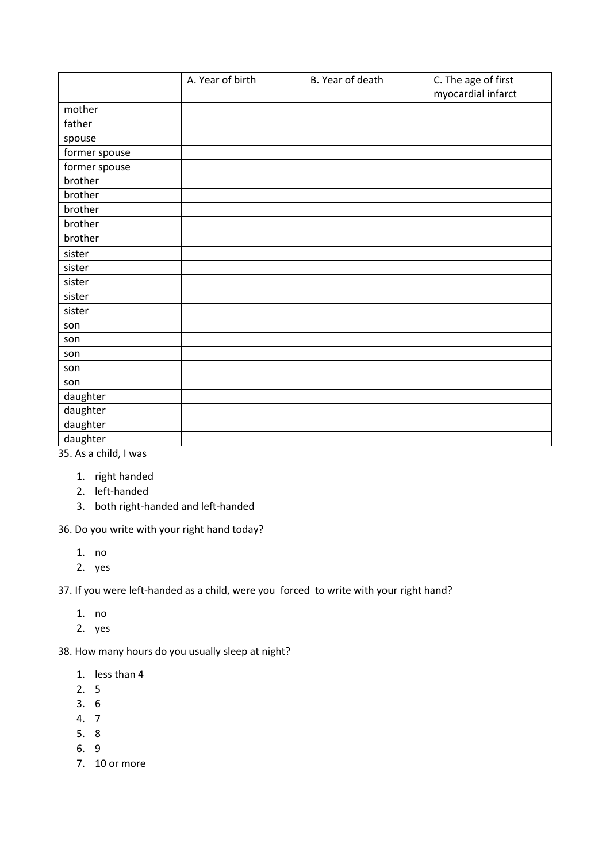|               | A. Year of birth | B. Year of death | C. The age of first<br>myocardial infarct |
|---------------|------------------|------------------|-------------------------------------------|
| mother        |                  |                  |                                           |
| father        |                  |                  |                                           |
| spouse        |                  |                  |                                           |
| former spouse |                  |                  |                                           |
| former spouse |                  |                  |                                           |
| brother       |                  |                  |                                           |
| brother       |                  |                  |                                           |
| brother       |                  |                  |                                           |
| brother       |                  |                  |                                           |
| brother       |                  |                  |                                           |
| sister        |                  |                  |                                           |
| sister        |                  |                  |                                           |
| sister        |                  |                  |                                           |
| sister        |                  |                  |                                           |
| sister        |                  |                  |                                           |
| son           |                  |                  |                                           |
| son           |                  |                  |                                           |
| son           |                  |                  |                                           |
| son           |                  |                  |                                           |
| son           |                  |                  |                                           |
| daughter      |                  |                  |                                           |
| daughter      |                  |                  |                                           |
| daughter      |                  |                  |                                           |
| daughter      |                  |                  |                                           |

35. As a child, I was

- 1. right handed
- 2. left-handed
- 3. both right-handed and left-handed

36. Do you write with your right hand today?

- 1. no
- 2. yes

37. If you were left-handed as a child, were you forced to write with your right hand?

- 1. no
- 2. yes

38. How many hours do you usually sleep at night?

- 1. less than 4
- 2. 5
- 3. 6
- 4. 7
- 5. 8
- 6. 9
- 7. 10 or more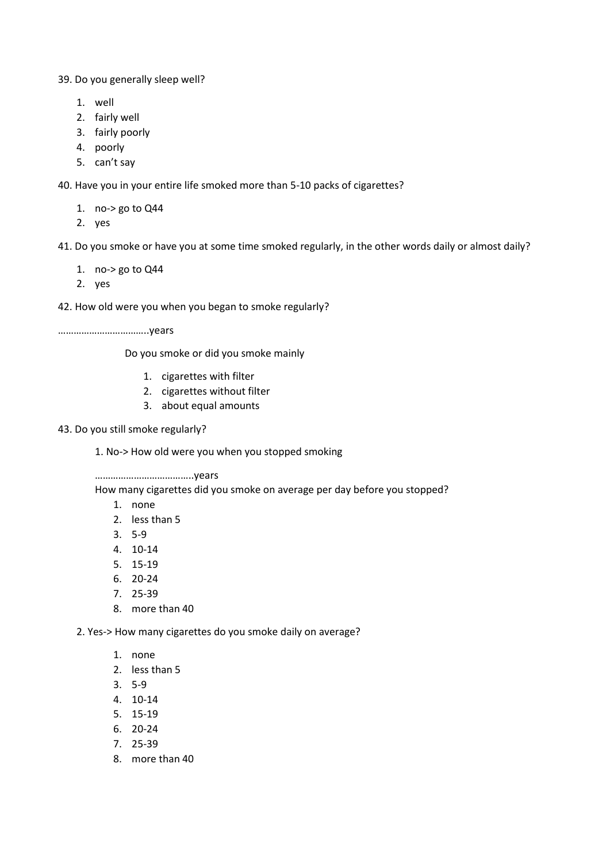39. Do you generally sleep well?

- 1. well
- 2. fairly well
- 3. fairly poorly
- 4. poorly
- 5. can't say

40. Have you in your entire life smoked more than 5-10 packs of cigarettes?

1. no-> go to Q44

2. yes

41. Do you smoke or have you at some time smoked regularly, in the other words daily or almost daily?

- 1. no-> go to Q44
- 2. yes

42. How old were you when you began to smoke regularly?

……………………………..years

Do you smoke or did you smoke mainly

- 1. cigarettes with filter
- 2. cigarettes without filter
- 3. about equal amounts
- 43. Do you still smoke regularly?

1. No-> How old were you when you stopped smoking

………………………………..years

How many cigarettes did you smoke on average per day before you stopped?

- 1. none
- 2. less than 5
- 3. 5-9
- 4. 10-14
- 5. 15-19
- 6. 20-24
- 7. 25-39
- 8. more than 40

2. Yes-> How many cigarettes do you smoke daily on average?

- 1. none
- 2. less than 5
- 3. 5-9
- 4. 10-14
- 5. 15-19
- 6. 20-24
- 7. 25-39
- 8. more than 40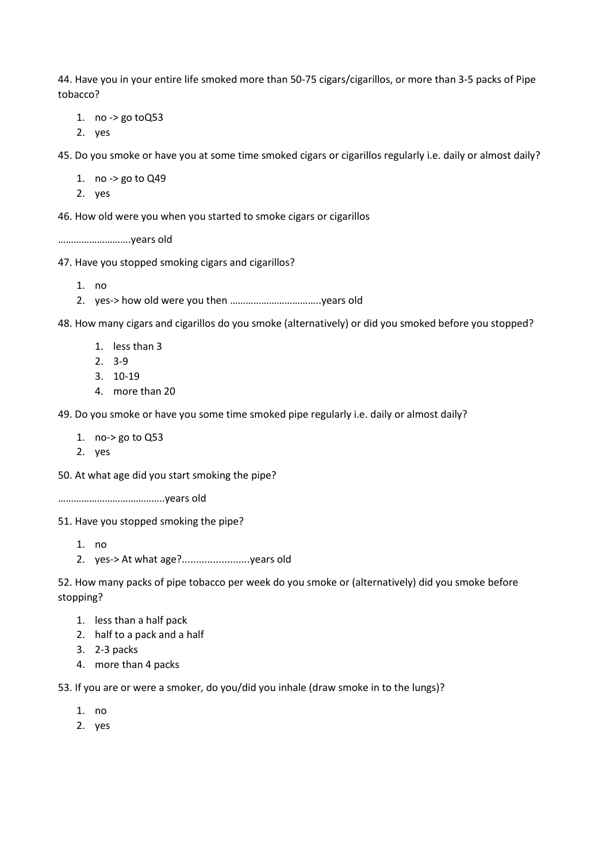44. Have you in your entire life smoked more than 50-75 cigars/cigarillos, or more than 3-5 packs of Pipe tobacco?

1. no -> go toQ53

2. yes

45. Do you smoke or have you at some time smoked cigars or cigarillos regularly i.e. daily or almost daily?

- 1. no -> go to Q49
- 2. yes

46. How old were you when you started to smoke cigars or cigarillos

……………………….years old

47. Have you stopped smoking cigars and cigarillos?

1. no

2. yes-> how old were you then ……………………………..years old

48. How many cigars and cigarillos do you smoke (alternatively) or did you smoked before you stopped?

- 1. less than 3
- 2. 3-9
- 3. 10-19
- 4. more than 20

49. Do you smoke or have you some time smoked pipe regularly i.e. daily or almost daily?

- 1. no-> go to Q53
- 2. yes

50. At what age did you start smoking the pipe?

…………………………………..years old

51. Have you stopped smoking the pipe?

- 1. no
- 2. yes-> At what age?........................years old

52. How many packs of pipe tobacco per week do you smoke or (alternatively) did you smoke before stopping?

- 1. less than a half pack
- 2. half to a pack and a half
- 3. 2-3 packs
- 4. more than 4 packs

53. If you are or were a smoker, do you/did you inhale (draw smoke in to the lungs)?

- 1. no
- 2. yes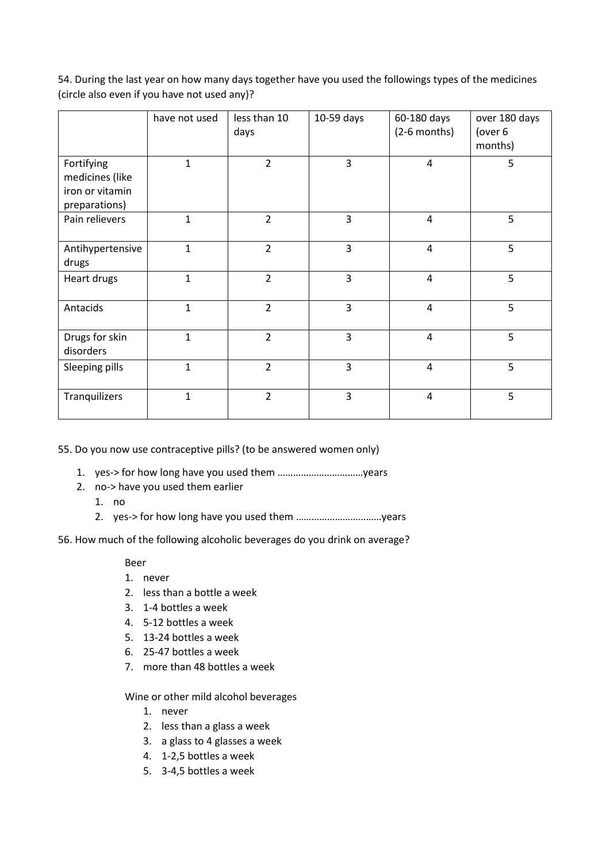54. During the last year on how many days together have you used the followings types of the medicines (circle also even if you have not used any)?

|                                                                   | have not used | less than 10<br>days | 10-59 days | 60-180 days<br>$(2-6$ months) | over 180 days<br>(over 6<br>months) |
|-------------------------------------------------------------------|---------------|----------------------|------------|-------------------------------|-------------------------------------|
| Fortifying<br>medicines (like<br>iron or vitamin<br>preparations) | 1             | $\overline{2}$       | 3          | 4                             | 5                                   |
| Pain relievers                                                    | $\mathbf{1}$  | $\overline{2}$       | 3          | 4                             | 5                                   |
| Antihypertensive<br>drugs                                         | $\mathbf{1}$  | $\overline{2}$       | 3          | $\overline{4}$                | 5                                   |
| Heart drugs                                                       | 1             | $\overline{2}$       | 3          | $\overline{4}$                | 5                                   |
| Antacids                                                          | $\mathbf 1$   | $\overline{2}$       | 3          | 4                             | 5                                   |
| Drugs for skin<br>disorders                                       | $\mathbf{1}$  | $\overline{2}$       | 3          | $\overline{4}$                | 5                                   |
| Sleeping pills                                                    | $\mathbf{1}$  | $\overline{2}$       | 3          | $\overline{4}$                | 5                                   |
| Tranquilizers                                                     | $\mathbf{1}$  | $\overline{2}$       | 3          | $\overline{4}$                | 5                                   |

55. Do you now use contraceptive pills? (to be answered women only)

- 1. yes-> for how long have you used them ……………………………years
- 2. no-> have you used them earlier
	- 1. no
	- 2. yes-> for how long have you used them ……………………………years
- 56. How much of the following alcoholic beverages do you drink on average?

#### Beer

- 1. never
- 2. less than a bottle a week
- 3. 1-4 bottles a week
- 4. 5-12 bottles a week
- 5. 13-24 bottles a week
- 6. 25-47 bottles a week
- 7. more than 48 bottles a week

Wine or other mild alcohol beverages

- 1. never
- 2. less than a glass a week
- 3. a glass to 4 glasses a week
- 4. 1-2,5 bottles a week
- 5. 3-4,5 bottles a week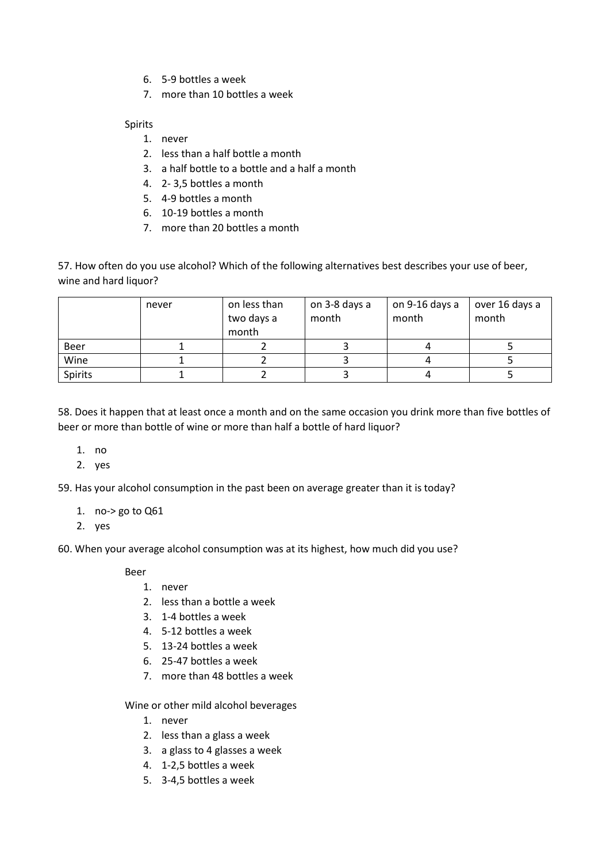- 6. 5-9 bottles a week
- 7. more than 10 bottles a week

# Spirits

- 1. never
- 2. less than a half bottle a month
- 3. a half bottle to a bottle and a half a month
- 4. 2- 3,5 bottles a month
- 5. 4-9 bottles a month
- 6. 10-19 bottles a month
- 7. more than 20 bottles a month

57. How often do you use alcohol? Which of the following alternatives best describes your use of beer, wine and hard liquor?

|         | never | on less than<br>two days a<br>month | on 3-8 days a<br>month | on 9-16 days a<br>month | over 16 days a<br>month |
|---------|-------|-------------------------------------|------------------------|-------------------------|-------------------------|
| Beer    |       |                                     |                        |                         |                         |
| Wine    |       |                                     |                        |                         |                         |
| Spirits |       |                                     |                        |                         |                         |

58. Does it happen that at least once a month and on the same occasion you drink more than five bottles of beer or more than bottle of wine or more than half a bottle of hard liquor?

- 1. no
- 2. yes

59. Has your alcohol consumption in the past been on average greater than it is today?

- 1. no-> go to Q61
- 2. yes

60. When your average alcohol consumption was at its highest, how much did you use?

Beer

- 1. never
- 2. less than a bottle a week
- 3. 1-4 bottles a week
- 4. 5-12 bottles a week
- 5. 13-24 bottles a week
- 6. 25-47 bottles a week
- 7. more than 48 bottles a week

Wine or other mild alcohol beverages

- 1. never
- 2. less than a glass a week
- 3. a glass to 4 glasses a week
- 4. 1-2,5 bottles a week
- 5. 3-4,5 bottles a week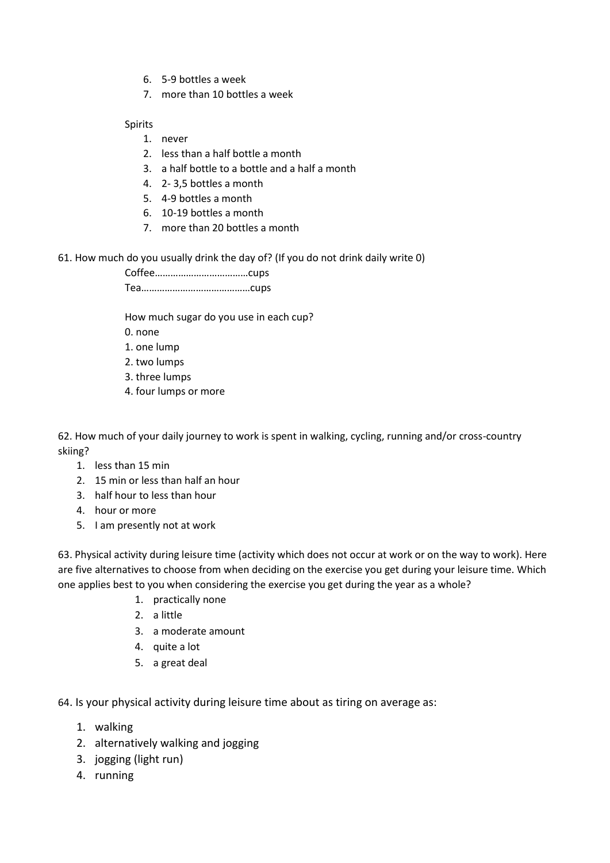- 6. 5-9 bottles a week
- 7. more than 10 bottles a week

# Spirits

- 1. never
- 2. less than a half bottle a month
- 3. a half bottle to a bottle and a half a month
- 4. 2- 3,5 bottles a month
- 5. 4-9 bottles a month
- 6. 10-19 bottles a month
- 7. more than 20 bottles a month
- 61. How much do you usually drink the day of? (If you do not drink daily write 0)

Coffee………………………………cups Tea……………………………………cups

How much sugar do you use in each cup?

- 0. none
- 1. one lump
- 2. two lumps
- 3. three lumps
- 4. four lumps or more

62. How much of your daily journey to work is spent in walking, cycling, running and/or cross-country skiing?

- 1. less than 15 min
- 2. 15 min or less than half an hour
- 3. half hour to less than hour
- 4. hour or more
- 5. I am presently not at work

63. Physical activity during leisure time (activity which does not occur at work or on the way to work). Here are five alternatives to choose from when deciding on the exercise you get during your leisure time. Which one applies best to you when considering the exercise you get during the year as a whole?

- 1. practically none
- 2. a little
- 3. a moderate amount
- 4. quite a lot
- 5. a great deal

64. Is your physical activity during leisure time about as tiring on average as:

- 1. walking
- 2. alternatively walking and jogging
- 3. jogging (light run)
- 4. running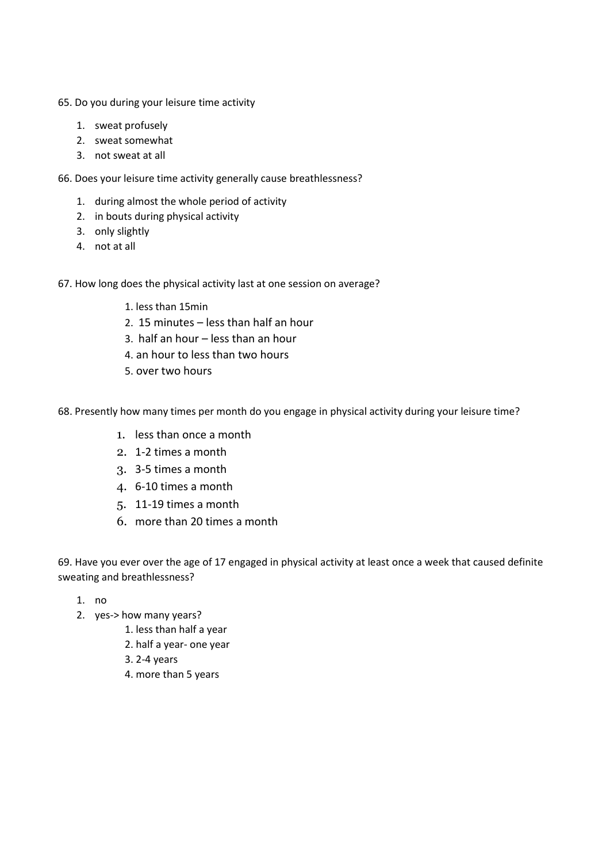- 65. Do you during your leisure time activity
	- 1. sweat profusely
	- 2. sweat somewhat
	- 3. not sweat at all
- 66. Does your leisure time activity generally cause breathlessness?
	- 1. during almost the whole period of activity
	- 2. in bouts during physical activity
	- 3. only slightly
	- 4. not at all
- 67. How long does the physical activity last at one session on average?
	- 1. less than 15min
	- 2. 15 minutes less than half an hour
	- 3. half an hour less than an hour
	- 4. an hour to less than two hours
	- 5. over two hours
- 68. Presently how many times per month do you engage in physical activity during your leisure time?
	- 1. less than once a month
	- 2. 1-2 times a month
	- 3. 3-5 times a month
	- 4. 6-10 times a month
	- 5. 11-19 times a month
	- 6. more than 20 times a month

69. Have you ever over the age of 17 engaged in physical activity at least once a week that caused definite sweating and breathlessness?

- 1. no
- 2. yes-> how many years?
	- 1. less than half a year
	- 2. half a year- one year
	- 3. 2-4 years
	- 4. more than 5 years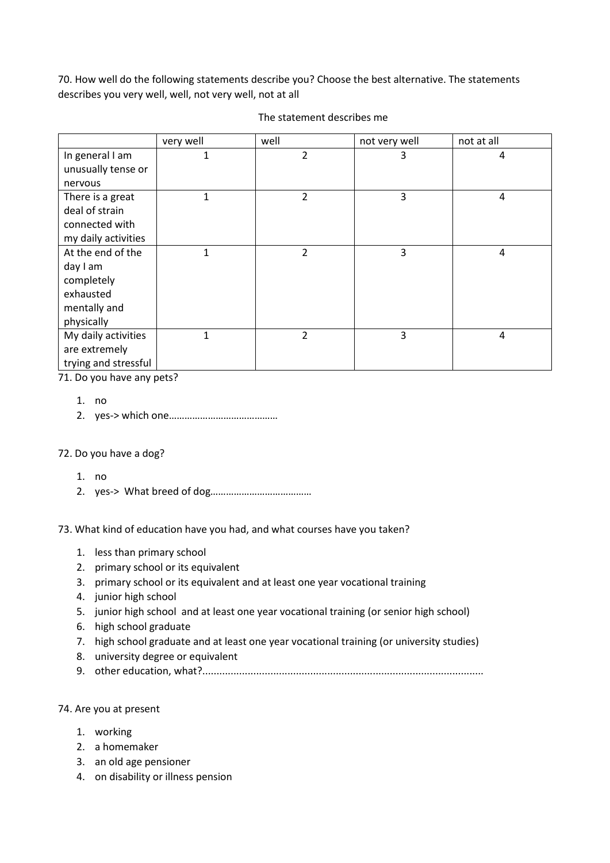70. How well do the following statements describe you? Choose the best alternative. The statements describes you very well, well, not very well, not at all

|                      | very well    | well           | not very well | not at all |
|----------------------|--------------|----------------|---------------|------------|
| In general I am      | $\mathbf{1}$ | 2              | 3             | 4          |
| unusually tense or   |              |                |               |            |
| nervous              |              |                |               |            |
| There is a great     | 1            | 2              | 3             | 4          |
| deal of strain       |              |                |               |            |
| connected with       |              |                |               |            |
| my daily activities  |              |                |               |            |
| At the end of the    | 1            | 2              | 3             | 4          |
| day I am             |              |                |               |            |
| completely           |              |                |               |            |
| exhausted            |              |                |               |            |
| mentally and         |              |                |               |            |
| physically           |              |                |               |            |
| My daily activities  | $\mathbf{1}$ | $\overline{2}$ | 3             | 4          |
| are extremely        |              |                |               |            |
| trying and stressful |              |                |               |            |

#### The statement describes me

71. Do you have any pets?

- 1. no
- 2. yes-> which one……………………………………

#### 72. Do you have a dog?

- 1. no
- 2. yes-> What breed of dog…………………………………

73. What kind of education have you had, and what courses have you taken?

- 1. less than primary school
- 2. primary school or its equivalent
- 3. primary school or its equivalent and at least one year vocational training
- 4. junior high school
- 5. junior high school and at least one year vocational training (or senior high school)
- 6. high school graduate
- 7. high school graduate and at least one year vocational training (or university studies)
- 8. university degree or equivalent
- 9. other education, what?...................................................................................................

#### 74. Are you at present

- 1. working
- 2. a homemaker
- 3. an old age pensioner
- 4. on disability or illness pension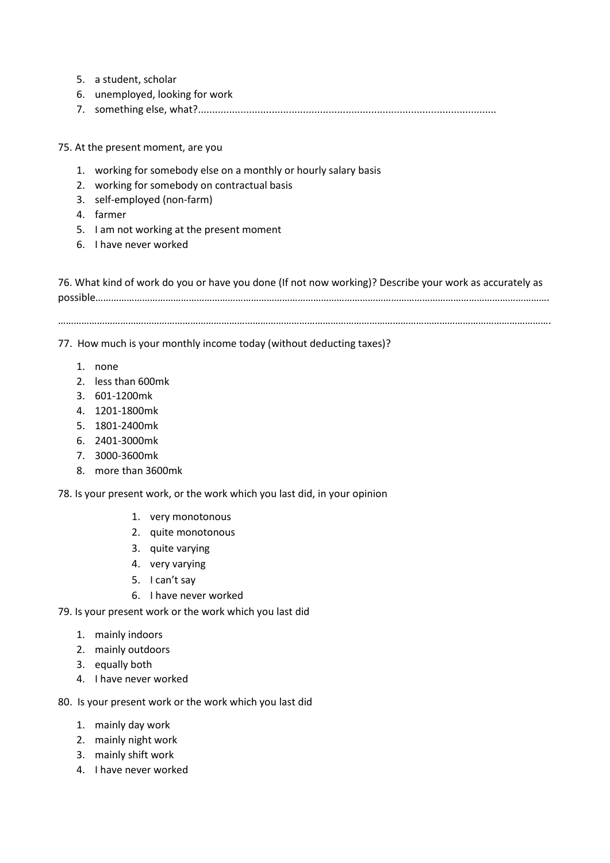- 5. a student, scholar
- 6. unemployed, looking for work
- 7. something else, what?.........................................................................................................
- 75. At the present moment, are you
	- 1. working for somebody else on a monthly or hourly salary basis
	- 2. working for somebody on contractual basis
	- 3. self-employed (non-farm)
	- 4. farmer
	- 5. I am not working at the present moment
	- 6. I have never worked

76. What kind of work do you or have you done (If not now working)? Describe your work as accurately as possible………………………………………………………………………………………………………………………………………………………….

……………………………………………………………………………………………………………………………………………………………………….

77. How much is your monthly income today (without deducting taxes)?

- 1. none
- 2. less than 600mk
- 3. 601-1200mk
- 4. 1201-1800mk
- 5. 1801-2400mk
- 6. 2401-3000mk
- 7. 3000-3600mk
- 8. more than 3600mk

78. Is your present work, or the work which you last did, in your opinion

- 1. very monotonous
- 2. quite monotonous
- 3. quite varying
- 4. very varying
- 5. I can't say
- 6. I have never worked

79. Is your present work or the work which you last did

- 1. mainly indoors
- 2. mainly outdoors
- 3. equally both
- 4. I have never worked

80. Is your present work or the work which you last did

- 1. mainly day work
- 2. mainly night work
- 3. mainly shift work
- 4. I have never worked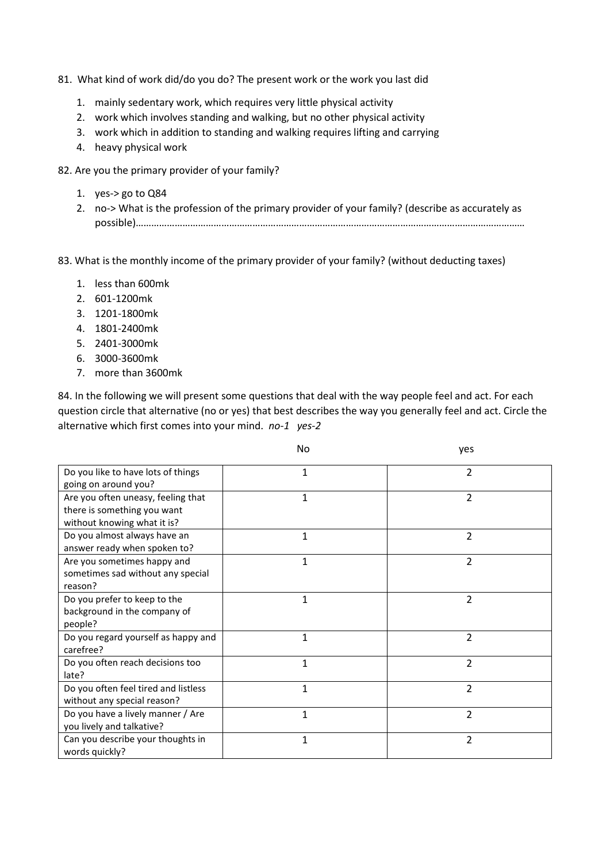# 81. What kind of work did/do you do? The present work or the work you last did

- 1. mainly sedentary work, which requires very little physical activity
- 2. work which involves standing and walking, but no other physical activity
- 3. work which in addition to standing and walking requires lifting and carrying
- 4. heavy physical work

82. Are you the primary provider of your family?

- 1. yes-> go to Q84
- 2. no-> What is the profession of the primary provider of your family? (describe as accurately as possible)……………………………………………………………………………………………………………………………………

83. What is the monthly income of the primary provider of your family? (without deducting taxes)

- 1. less than 600mk
- 2. 601-1200mk
- 3. 1201-1800mk
- 4. 1801-2400mk
- 5. 2401-3000mk
- 6. 3000-3600mk
- 7. more than 3600mk

84. In the following we will present some questions that deal with the way people feel and act. For each question circle that alternative (no or yes) that best describes the way you generally feel and act. Circle the alternative which first comes into your mind. *no-1 yes-2*

|                                                                                                  | No           | yes            |
|--------------------------------------------------------------------------------------------------|--------------|----------------|
| Do you like to have lots of things<br>going on around you?                                       | $\mathbf{1}$ | 2              |
| Are you often uneasy, feeling that<br>there is something you want<br>without knowing what it is? | $\mathbf{1}$ | $\overline{2}$ |
| Do you almost always have an<br>answer ready when spoken to?                                     | 1            | $\overline{2}$ |
| Are you sometimes happy and<br>sometimes sad without any special<br>reason?                      | $\mathbf{1}$ | $\overline{2}$ |
| Do you prefer to keep to the<br>background in the company of<br>people?                          | 1            | $\overline{2}$ |
| Do you regard yourself as happy and<br>carefree?                                                 | $\mathbf{1}$ | $\overline{2}$ |
| Do you often reach decisions too<br>late?                                                        | $\mathbf{1}$ | $\overline{2}$ |
| Do you often feel tired and listless<br>without any special reason?                              | $\mathbf{1}$ | $\overline{2}$ |
| Do you have a lively manner / Are<br>you lively and talkative?                                   | $\mathbf{1}$ | $\overline{2}$ |
| Can you describe your thoughts in<br>words quickly?                                              | $\mathbf{1}$ | 2              |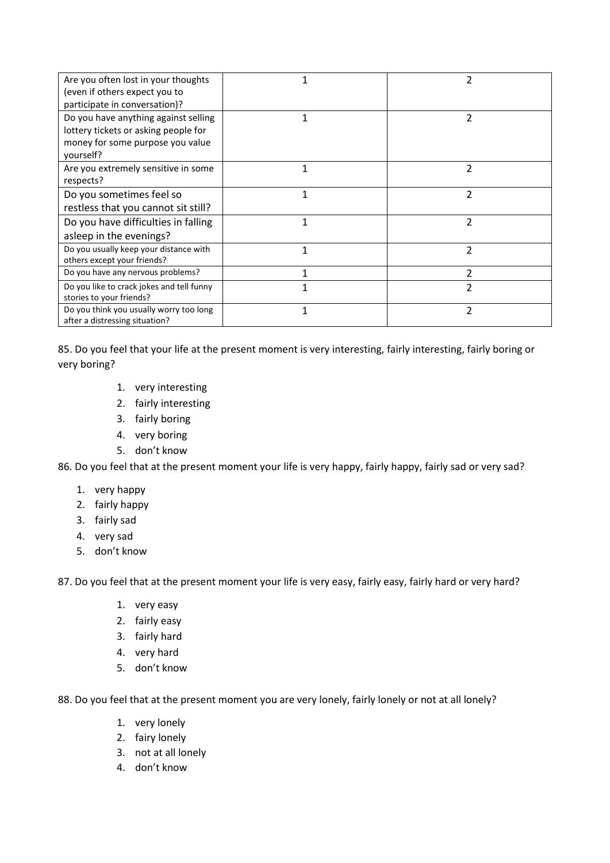| Are you often lost in your thoughts<br>(even if others expect you to<br>participate in conversation)?                         |   | 2              |
|-------------------------------------------------------------------------------------------------------------------------------|---|----------------|
| Do you have anything against selling<br>lottery tickets or asking people for<br>money for some purpose you value<br>yourself? |   | 2              |
| Are you extremely sensitive in some<br>respects?                                                                              | 1 | 2              |
| Do you sometimes feel so<br>restless that you cannot sit still?                                                               |   | 2              |
| Do you have difficulties in falling<br>asleep in the evenings?                                                                |   | 2              |
| Do you usually keep your distance with<br>others except your friends?                                                         | 1 | C              |
| Do you have any nervous problems?                                                                                             |   | $\overline{2}$ |
| Do you like to crack jokes and tell funny<br>stories to your friends?                                                         |   | 2              |
| Do you think you usually worry too long<br>after a distressing situation?                                                     |   | 2              |

85. Do you feel that your life at the present moment is very interesting, fairly interesting, fairly boring or very boring?

- 1. very interesting
- 2. fairly interesting
- 3. fairly boring
- 4. very boring
- 5. don't know

86. Do you feel that at the present moment your life is very happy, fairly happy, fairly sad or very sad?

- 1. very happy
- 2. fairly happy
- 3. fairly sad
- 4. very sad
- 5. don't know

87. Do you feel that at the present moment your life is very easy, fairly easy, fairly hard or very hard?

- 1. very easy
- 2. fairly easy
- 3. fairly hard
- 4. very hard
- 5. don't know

88. Do you feel that at the present moment you are very lonely, fairly lonely or not at all lonely?

- 1. very lonely
- 2. fairy lonely
- 3. not at all lonely
- 4. don't know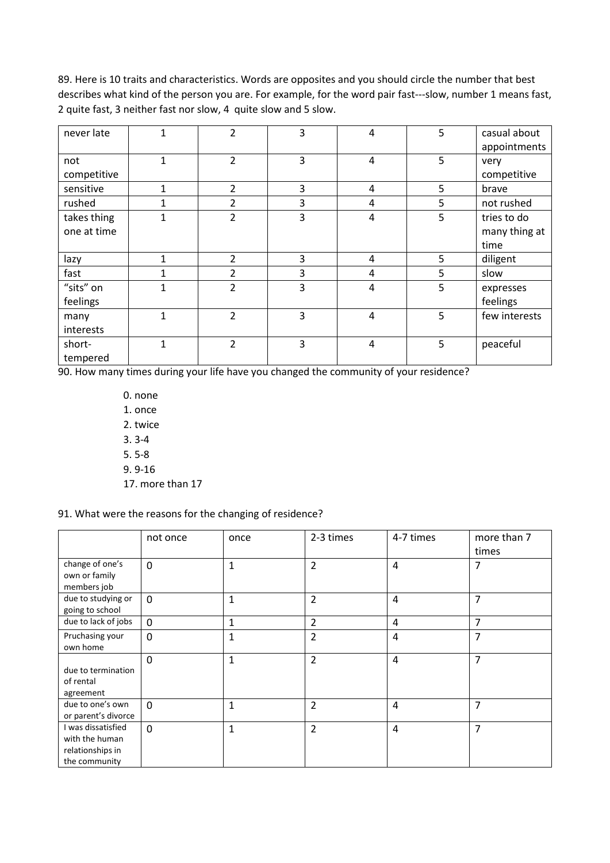89. Here is 10 traits and characteristics. Words are opposites and you should circle the number that best describes what kind of the person you are. For example, for the word pair fast---slow, number 1 means fast, 2 quite fast, 3 neither fast nor slow, 4 quite slow and 5 slow.

| never late  |              | 2              | 3 | 4              | 5 | casual about  |
|-------------|--------------|----------------|---|----------------|---|---------------|
|             |              |                |   |                |   | appointments  |
| not         | $\mathbf{1}$ | $\overline{2}$ | 3 | 4              | 5 | very          |
| competitive |              |                |   |                |   | competitive   |
| sensitive   | $\mathbf{1}$ | $\overline{2}$ | 3 | 4              | 5 | brave         |
| rushed      | 1            | 2              | 3 | 4              | 5 | not rushed    |
| takes thing | 1            | $\overline{2}$ | 3 | 4              | 5 | tries to do   |
| one at time |              |                |   |                |   | many thing at |
|             |              |                |   |                |   | time          |
| lazy        | 1            | $\overline{2}$ | 3 | 4              | 5 | diligent      |
| fast        |              | 2              | 3 | 4              | 5 | slow          |
| "sits" on   | 1            | $\overline{2}$ | 3 | 4              | 5 | expresses     |
| feelings    |              |                |   |                |   | feelings      |
| many        | $\mathbf{1}$ | $\overline{2}$ | 3 | $\overline{4}$ | 5 | few interests |
| interests   |              |                |   |                |   |               |
| short-      | 1            | $\overline{2}$ | 3 | $\overline{4}$ | 5 | peaceful      |
| tempered    |              |                |   |                |   |               |

90. How many times during your life have you changed the community of your residence?

0. none 1. once 2. twice 3. 3-4 5. 5-8 9. 9-16 17. more than 17

# 91. What were the reasons for the changing of residence?

|                                                                           | not once     | once         | 2-3 times      | 4-7 times      | more than 7    |
|---------------------------------------------------------------------------|--------------|--------------|----------------|----------------|----------------|
|                                                                           |              |              |                |                | times          |
| change of one's<br>own or family<br>members job                           | $\mathbf 0$  | $\mathbf{1}$ | $\overline{2}$ | $\overline{4}$ | 7              |
| due to studying or<br>going to school                                     | $\mathbf 0$  | $\mathbf{1}$ | $\overline{2}$ | $\overline{4}$ | 7              |
| due to lack of jobs                                                       | $\mathbf 0$  | $\mathbf{1}$ | $\overline{2}$ | 4              | 7              |
| Pruchasing your<br>own home                                               | $\mathbf{0}$ | $\mathbf{1}$ | $\overline{2}$ | 4              | 7              |
| due to termination<br>of rental<br>agreement                              | $\Omega$     | 1            | $\overline{2}$ | 4              | 7              |
| due to one's own<br>or parent's divorce                                   | $\Omega$     | $\mathbf{1}$ | $\overline{2}$ | $\overline{4}$ | 7              |
| I was dissatisfied<br>with the human<br>relationships in<br>the community | $\mathbf{0}$ | $\mathbf{1}$ | $\overline{2}$ | 4              | $\overline{7}$ |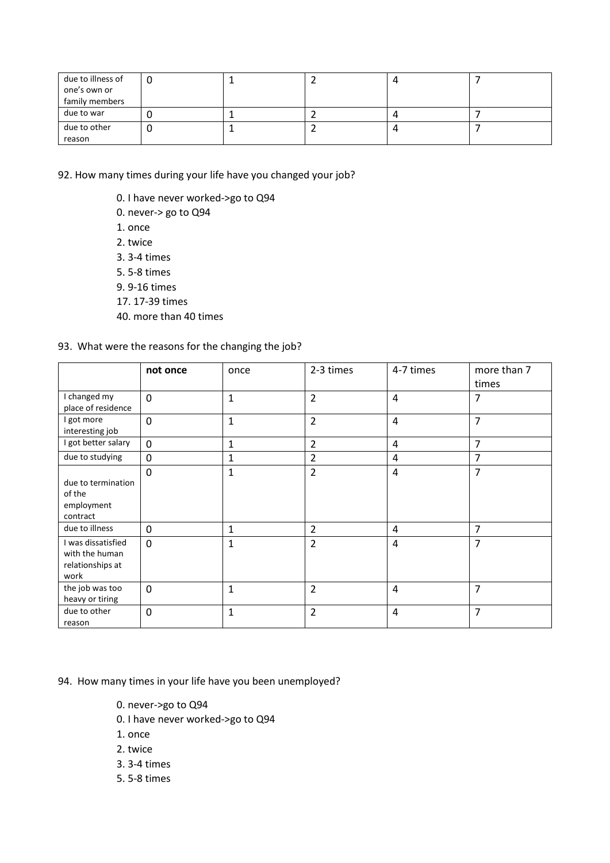| due to illness of |  |  |  |
|-------------------|--|--|--|
| one's own or      |  |  |  |
| family members    |  |  |  |
| due to war        |  |  |  |
| due to other      |  |  |  |
| reason            |  |  |  |

92. How many times during your life have you changed your job?

- 0. I have never worked->go to Q94
- 0. never-> go to Q94
- 1. once
- 2. twice
- 3. 3-4 times
- 5. 5-8 times
- 9. 9-16 times
- 17. 17-39 times
- 40. more than 40 times

# 93. What were the reasons for the changing the job?

|                                                                  | not once | once         | 2-3 times      | 4-7 times      | more than 7<br>times |
|------------------------------------------------------------------|----------|--------------|----------------|----------------|----------------------|
| I changed my<br>place of residence                               | $\Omega$ | $\mathbf{1}$ | $\overline{2}$ | $\overline{4}$ | 7                    |
| I got more<br>interesting job                                    | $\Omega$ | 1            | $\overline{2}$ | $\overline{4}$ | $\overline{7}$       |
| I got better salary                                              | $\Omega$ | 1            | $\overline{2}$ | $\overline{4}$ | 7                    |
| due to studying                                                  | $\Omega$ | $\mathbf{1}$ | $\overline{2}$ | 4              | 7                    |
| due to termination<br>of the<br>employment<br>contract           | $\Omega$ | 1            | $\overline{2}$ | 4              | 7                    |
| due to illness                                                   | $\Omega$ | 1            | $\overline{2}$ | 4              | 7                    |
| I was dissatisfied<br>with the human<br>relationships at<br>work | $\Omega$ | 1            | $\overline{2}$ | 4              | 7                    |
| the job was too<br>heavy or tiring                               | $\Omega$ | 1            | $\overline{2}$ | $\overline{4}$ | $\overline{7}$       |
| due to other<br>reason                                           | $\Omega$ | 1            | $\overline{2}$ | 4              | 7                    |

# 94. How many times in your life have you been unemployed?

- 0. never->go to Q94
- 0. I have never worked->go to Q94
- 1. once
- 2. twice
- 3. 3-4 times
- 5. 5-8 times